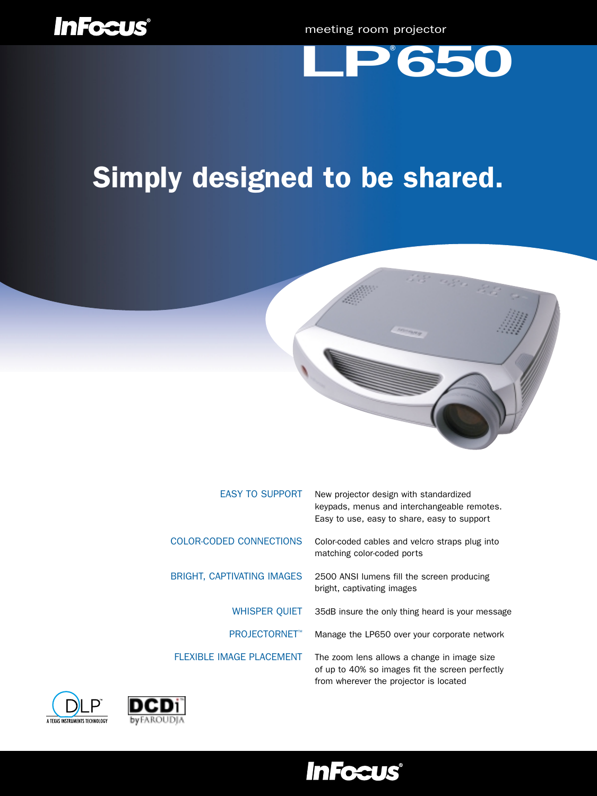



# Simply designed to be shared.



| <b>EASY TO SUPPORT</b>            | New projector design with standardized<br>keypads, menus and interchangeable remotes.<br>Easy to use, easy to share, easy to support     |
|-----------------------------------|------------------------------------------------------------------------------------------------------------------------------------------|
| COLOR-CODED CONNECTIONS           | Color-coded cables and velcro straps plug into<br>matching color-coded ports                                                             |
| <b>BRIGHT, CAPTIVATING IMAGES</b> | 2500 ANSI lumens fill the screen producing<br>bright, captivating images                                                                 |
| <b>WHISPER QUIET</b>              | 35dB insure the only thing heard is your message                                                                                         |
| <b>PROJECTORNET™</b>              | Manage the LP650 over your corporate network                                                                                             |
| <b>FLEXIBLE IMAGE PLACEMENT</b>   | The zoom lens allows a change in image size<br>of up to 40% so images fit the screen perfectly<br>from wherever the projector is located |





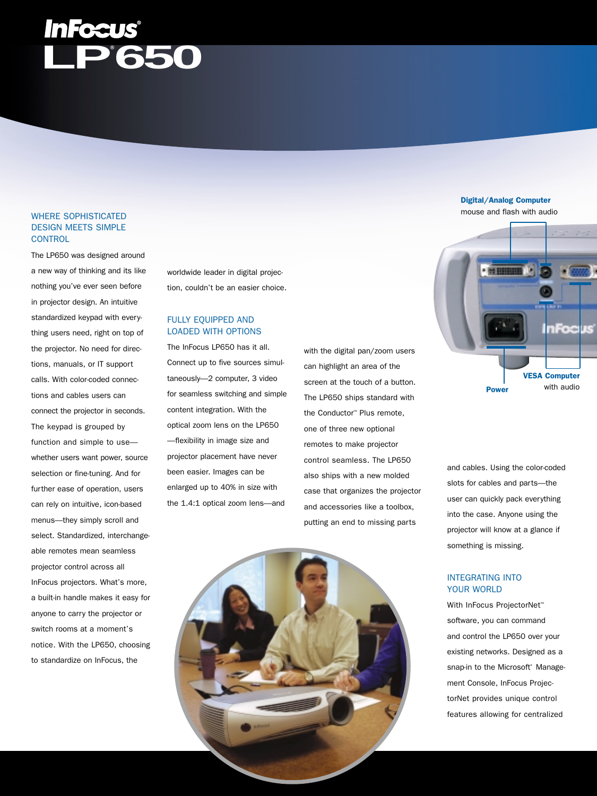# **LP® 650**

# WHERE SOPHISTICATED DESIGN MEETS SIMPLE **CONTROL**

The LP650 was designed around a new way of thinking and its like nothing you've ever seen before in projector design. An intuitive standardized keypad with everything users need, right on top of the projector. No need for directions, manuals, or IT support calls. With color-coded connections and cables users can connect the projector in seconds. The keypad is grouped by function and simple to use whether users want power, source selection or fine-tuning. And for further ease of operation, users can rely on intuitive, icon-based menus—they simply scroll and select. Standardized, interchangeable remotes mean seamless projector control across all InFocus projectors. What's more, a built-in handle makes it easy for anyone to carry the projector or switch rooms at a moment's notice. With the LP650, choosing to standardize on InFocus, the

worldwide leader in digital projection, couldn't be an easier choice.

# FULLY EQUIPPED AND LOADED WITH OPTIONS

The InFocus LP650 has it all. Connect up to five sources simultaneously—2 computer, 3 video for seamless switching and simple content integration. With the optical zoom lens on the LP650 —flexibility in image size and projector placement have never been easier. Images can be enlarged up to 40% in size with the 1.4:1 optical zoom lens—and

with the digital pan/zoom users can highlight an area of the screen at the touch of a button. The LP650 ships standard with the Conductor™ Plus remote, one of three new optional remotes to make projector control seamless. The LP650 also ships with a new molded case that organizes the projector and accessories like a toolbox, putting an end to missing parts





and cables. Using the color-coded slots for cables and parts—the user can quickly pack everything into the case. Anyone using the projector will know at a glance if something is missing.

## INTEGRATING INTO YOUR WORLD

With InFocus ProjectorNet<sup>™</sup> software, you can command and control the LP650 over your existing networks. Designed as a snap-in to the Microsoft<sup>®</sup> Management Console, InFocus ProjectorNet provides unique control features allowing for centralized

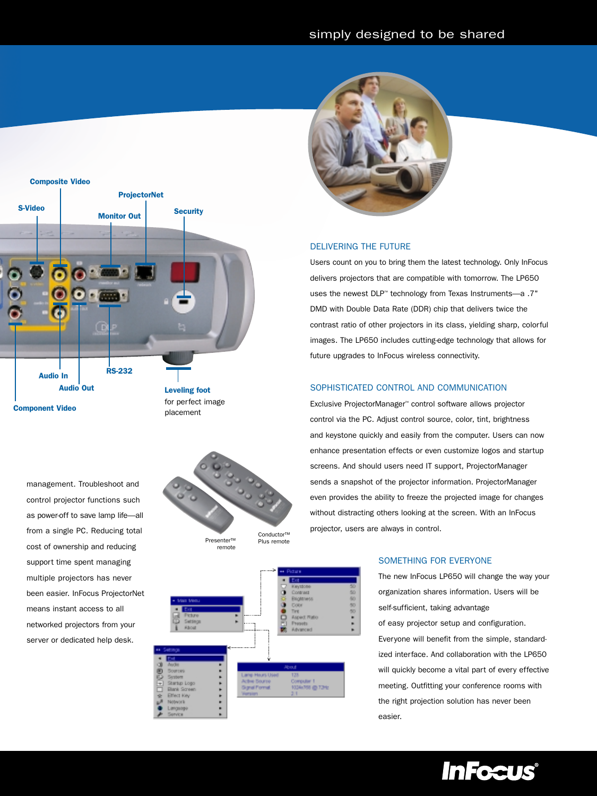

management. Troubleshoot and control projector functions such as power-off to save lamp life—all from a single PC. Reducing total cost of ownership and reducing support time spent managing multiple projectors has never been easier. InFocus ProjectorNet means instant access to all networked projectors from your server or dedicated help desk.



remote







### DELIVERING THE FUTURE

Users count on you to bring them the latest technology. Only InFocus delivers projectors that are compatible with tomorrow. The LP650 uses the newest DLP™ technology from Texas Instruments—a .7" DMD with Double Data Rate (DDR) chip that delivers twice the contrast ratio of other projectors in its class, yielding sharp, colorful images. The LP650 includes cutting-edge technology that allows for future upgrades to InFocus wireless connectivity.

## SOPHISTICATED CONTROL AND COMMUNICATION

Exclusive ProjectorManager™ control software allows projector control via the PC. Adjust control source, color, tint, brightness and keystone quickly and easily from the computer. Users can now enhance presentation effects or even customize logos and startup screens. And should users need IT support, ProjectorManager sends a snapshot of the projector information. ProjectorManager even provides the ability to freeze the projected image for changes without distracting others looking at the screen. With an InFocus projector, users are always in control.

### SOMETHING FOR EVERYONE

The new InFocus LP650 will change the way your organization shares information. Users will be self-sufficient, taking advantage of easy projector setup and configuration. Everyone will benefit from the simple, standardized interface. And collaboration with the LP650 will quickly become a vital part of every effective meeting. Outfitting your conference rooms with the right projection solution has never been easier.